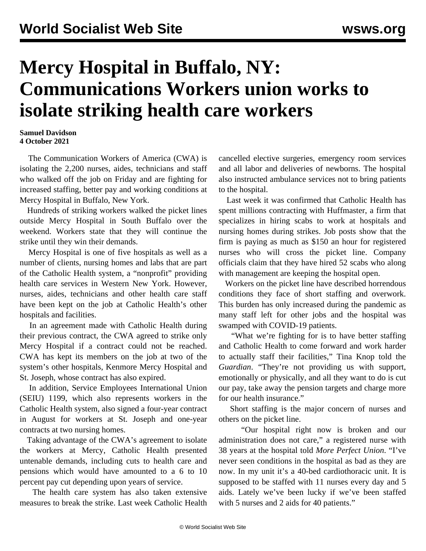## **Mercy Hospital in Buffalo, NY: Communications Workers union works to isolate striking health care workers**

## **Samuel Davidson 4 October 2021**

 The Communication Workers of America (CWA) is isolating the 2,200 nurses, aides, technicians and staff who walked off the job on Friday and are fighting for increased staffing, better pay and working conditions at Mercy Hospital in Buffalo, New York.

 Hundreds of striking workers walked the picket lines outside Mercy Hospital in South Buffalo over the weekend. Workers state that they will continue the strike until they win their demands.

 Mercy Hospital is one of five hospitals as well as a number of clients, nursing homes and labs that are part of the Catholic Health system, a "nonprofit" providing health care services in Western New York. However, nurses, aides, technicians and other health care staff have been kept on the job at Catholic Health's other hospitals and facilities.

 In an agreement made with Catholic Health during their previous contract, the CWA agreed to strike only Mercy Hospital if a contract could not be reached. CWA has kept its members on the job at two of the system's other hospitals, Kenmore Mercy Hospital and St. Joseph, whose contract has also expired.

 In addition, Service Employees International Union (SEIU) 1199, which also represents workers in the Catholic Health system, also signed a four-year contract in August for workers at St. Joseph and one-year contracts at two nursing homes.

 Taking advantage of the CWA's agreement to isolate the workers at Mercy, Catholic Health presented untenable demands, including cuts to health care and pensions which would have amounted to a 6 to 10 percent pay cut depending upon years of service.

 The health care system has also taken extensive measures to break the strike. Last week Catholic Health cancelled elective surgeries, emergency room services and all labor and deliveries of newborns. The hospital also instructed ambulance services not to bring patients to the hospital.

 Last week it was confirmed that Catholic Health has spent millions contracting with Huffmaster, a firm that specializes in hiring scabs to work at hospitals and nursing homes during strikes. Job posts show that the firm is paying as much as \$150 an hour for registered nurses who will cross the picket line. Company officials claim that they have hired 52 scabs who along with management are keeping the hospital open.

 Workers on the picket line have described horrendous conditions they face of short staffing and overwork. This burden has only increased during the pandemic as many staff left for other jobs and the hospital was swamped with COVID-19 patients.

 "What we're fighting for is to have better staffing and Catholic Health to come forward and work harder to actually staff their facilities," Tina Knop told the *Guardian*. "They're not providing us with support, emotionally or physically, and all they want to do is cut our pay, take away the pension targets and charge more for our health insurance."

 Short staffing is the major concern of nurses and others on the picket line.

 "Our hospital right now is broken and our administration does not care," a registered nurse with 38 years at the hospital told *More Perfect Union*. "I've never seen conditions in the hospital as bad as they are now. In my unit it's a 40-bed cardiothoracic unit. It is supposed to be staffed with 11 nurses every day and 5 aids. Lately we've been lucky if we've been staffed with 5 nurses and 2 aids for 40 patients."